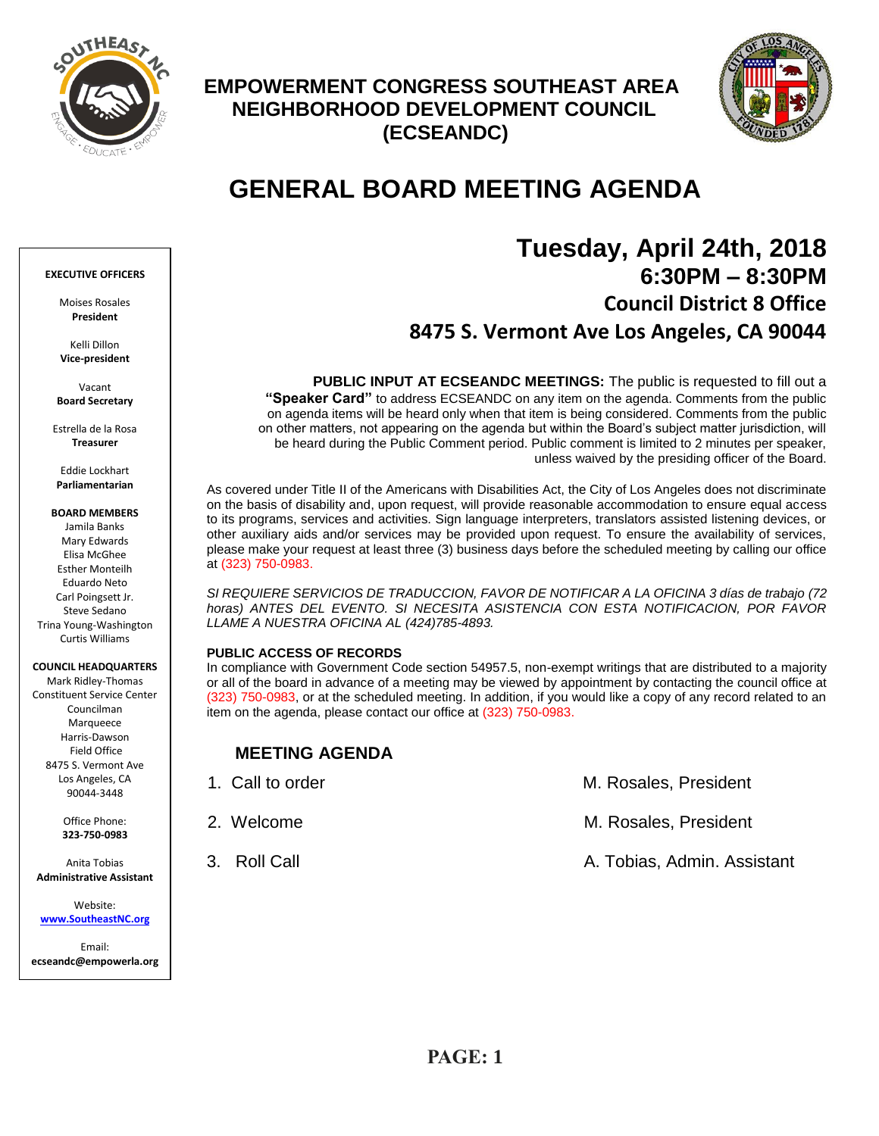

## **EMPOWERMENT CONGRESS SOUTHEAST AREA NEIGHBORHOOD DEVELOPMENT COUNCIL (ECSEANDC)**



# **GENERAL BOARD MEETING AGENDA**

## **Tuesday, April 24th, 2018 6:30PM – 8:30PM Council District 8 Office 8475 S. Vermont Ave Los Angeles, CA 90044**

**PUBLIC INPUT AT ECSEANDC MEETINGS:** The public is requested to fill out a **"Speaker Card"** to address ECSEANDC on any item on the agenda. Comments from the public on agenda items will be heard only when that item is being considered. Comments from the public on other matters, not appearing on the agenda but within the Board's subject matter jurisdiction, will be heard during the Public Comment period. Public comment is limited to 2 minutes per speaker, unless waived by the presiding officer of the Board.

As covered under Title II of the Americans with Disabilities Act, the City of Los Angeles does not discriminate on the basis of disability and, upon request, will provide reasonable accommodation to ensure equal access to its programs, services and activities. Sign language interpreters, translators assisted listening devices, or other auxiliary aids and/or services may be provided upon request. To ensure the availability of services, please make your request at least three (3) business days before the scheduled meeting by calling our office at (323) 750-0983.

*SI REQUIERE SERVICIOS DE TRADUCCION, FAVOR DE NOTIFICAR A LA OFICINA 3 días de trabajo (72 horas) ANTES DEL EVENTO. SI NECESITA ASISTENCIA CON ESTA NOTIFICACION, POR FAVOR LLAME A NUESTRA OFICINA AL (424)785-4893.*

#### **PUBLIC ACCESS OF RECORDS**

In compliance with Government Code section 54957.5, non-exempt writings that are distributed to a majority or all of the board in advance of a meeting may be viewed by appointment by contacting the council office at (323) 750-0983, or at the scheduled meeting. In addition, if you would like a copy of any record related to an item on the agenda, please contact our office at (323) 750-0983.

## **MEETING AGENDA**

| 1. Call to order | M. Rosales, President       |
|------------------|-----------------------------|
| 2. Welcome       | M. Rosales, President       |
| 3. Roll Call     | A. Tobias, Admin. Assistant |

#### **EXECUTIVE OFFICERS**

Moises Rosales **President**

Kelli Dillon **Vice-president**

Vacant **Board Secretary**

Estrella de la Rosa **Treasurer**

Eddie Lockhart **Parliamentarian**

**BOARD MEMBERS**

Jamila Banks Mary Edwards Elisa McGhee Esther Monteilh Eduardo Neto Carl Poingsett Jr. Steve Sedano Trina Young-Washington Curtis Williams

#### **COUNCIL HEADQUARTERS**

Mark Ridley-Thomas Constituent Service Center Councilman Marqueece Harris-Dawson Field Office 8475 S. Vermont Ave Los Angeles, CA 90044-3448

> Office Phone: **323-750-0983**

Anita Tobias **Administrative Assistant**

Website: **[www.SoutheastNC.org](http://www.ecseandc.org/)**

Email: **ecseandc@empowerla.org**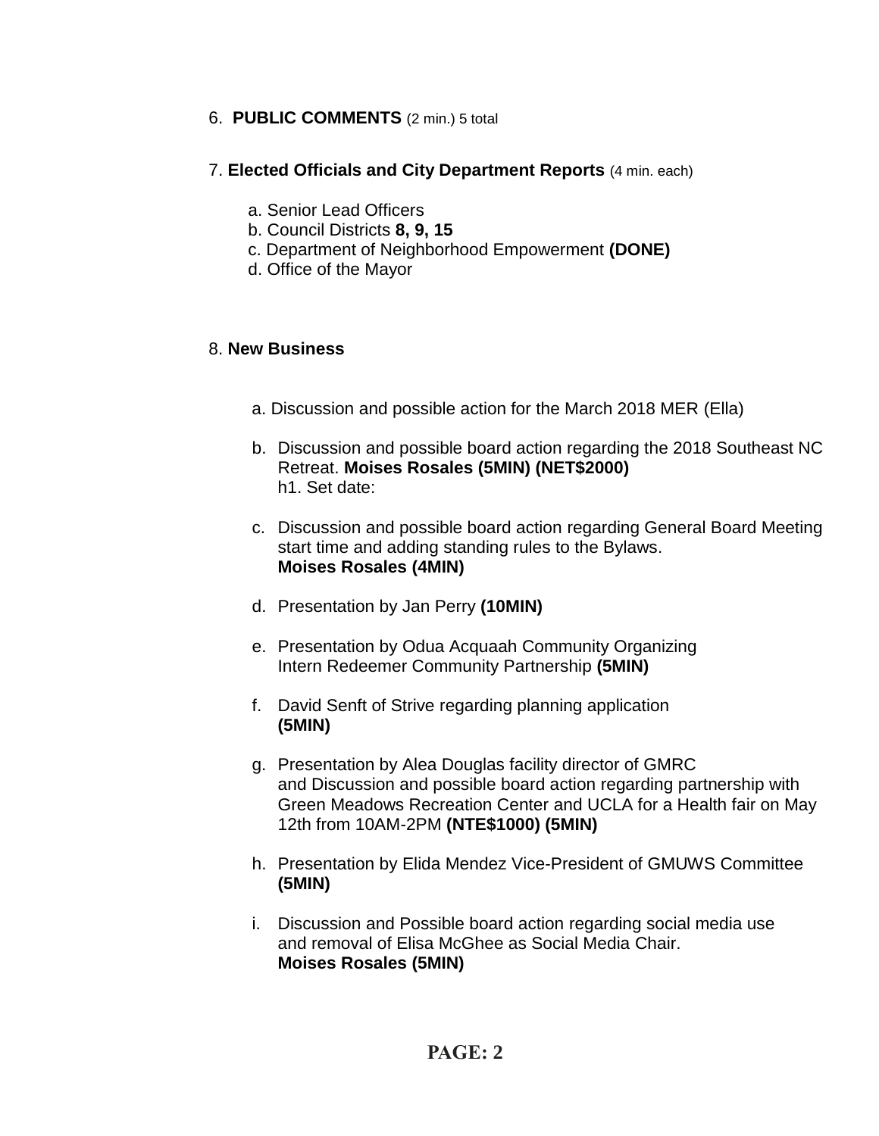## 6. **PUBLIC COMMENTS** (2 min.) 5 total

## 7. **Elected Officials and City Department Reports** (4 min. each)

- a. Senior Lead Officers
- b. Council Districts **8, 9, 15**
- c. Department of Neighborhood Empowerment **(DONE)**
- d. Office of the Mayor

## 8. **New Business**

- a. Discussion and possible action for the March 2018 MER (Ella)
- b. Discussion and possible board action regarding the 2018 Southeast NC Retreat. **Moises Rosales (5MIN) (NET\$2000)** h1. Set date:
- c. Discussion and possible board action regarding General Board Meeting start time and adding standing rules to the Bylaws. **Moises Rosales (4MIN)**
- d. Presentation by Jan Perry **(10MIN)**
- e. Presentation by Odua Acquaah Community Organizing Intern Redeemer Community Partnership **(5MIN)**
- f. David Senft of Strive regarding planning application **(5MIN)**
- g. Presentation by Alea Douglas facility director of GMRC and Discussion and possible board action regarding partnership with Green Meadows Recreation Center and UCLA for a Health fair on May 12th from 10AM-2PM **(NTE\$1000) (5MIN)**
- h. Presentation by Elida Mendez Vice-President of GMUWS Committee **(5MIN)**
- i. Discussion and Possible board action regarding social media use and removal of Elisa McGhee as Social Media Chair. **Moises Rosales (5MIN)**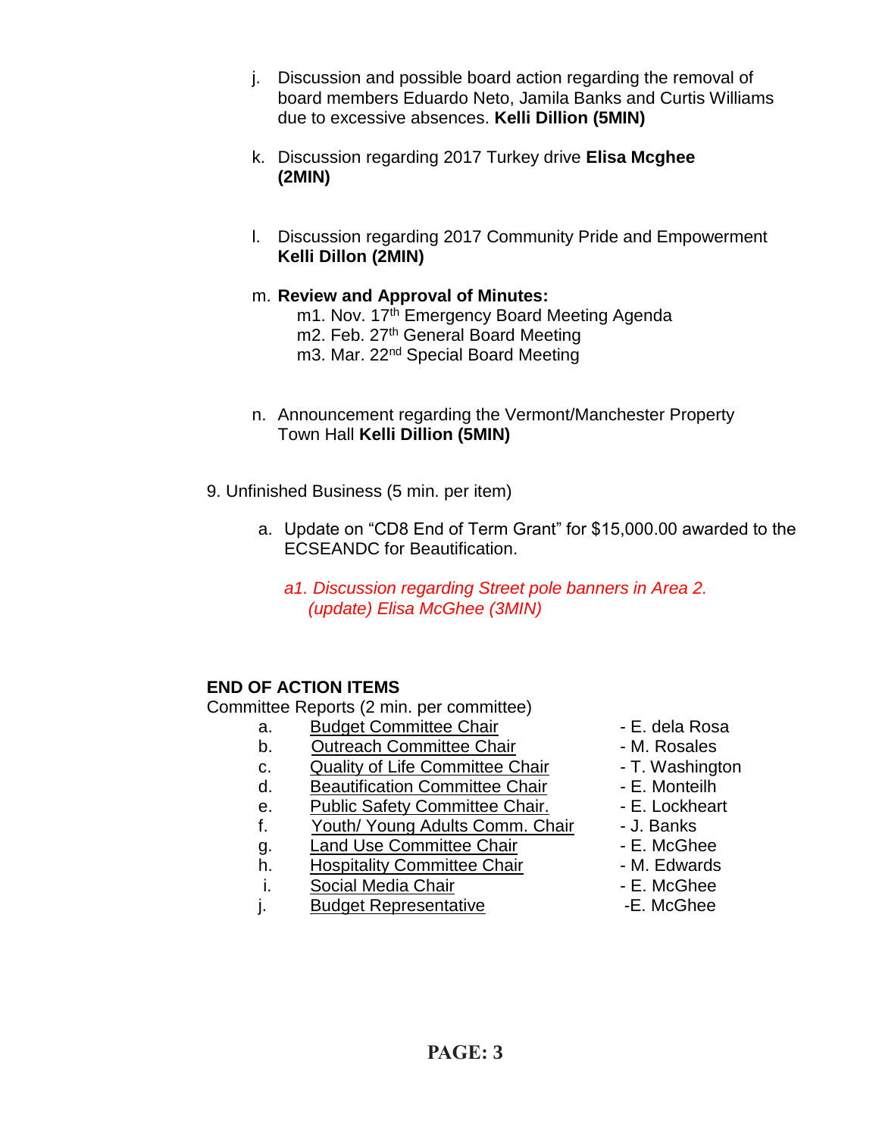- j. Discussion and possible board action regarding the removal of board members Eduardo Neto, Jamila Banks and Curtis Williams due to excessive absences. **Kelli Dillion (5MIN)**
- k. Discussion regarding 2017 Turkey drive **Elisa Mcghee (2MIN)**
- l. Discussion regarding 2017 Community Pride and Empowerment **Kelli Dillon (2MIN)**
- m. **Review and Approval of Minutes:**
	- m1. Nov. 17<sup>th</sup> Emergency Board Meeting Agenda m2. Feb. 27<sup>th</sup> General Board Meeting m3. Mar. 22<sup>nd</sup> Special Board Meeting
- n. Announcement regarding the Vermont/Manchester Property Town Hall **Kelli Dillion (5MIN)**
- 9. Unfinished Business (5 min. per item)
	- a. Update on "CD8 End of Term Grant" for \$15,000.00 awarded to the ECSEANDC for Beautification.
		- *a1. Discussion regarding Street pole banners in Area 2. (update) Elisa McGhee (3MIN)*

## **END OF ACTION ITEMS**

Committee Reports (2 min. per committee)

- a. Budget Committee Chair **1988** E. dela Rosa
- b. Outreach Committee Chair **Day 1. 1. Solut Franch Committee Chair M. Rosales**
- c. Quality of Life Committee Chair T. Washington
- d. Beautification Committee Chair E. Monteilh
- e. Public Safety Committee Chair. E. Lockheart
- f. Youth/ Young Adults Comm. Chair J. Banks
- q. Land Use Committee Chair **E. McGhee**
- h. Hospitality Committee Chair M. Edwards
- i. Social Media Chair **Chair Caucasia E. McGhee**
- j. Budget Representative **E.** McGhee
- 
- 
- 
- 
- 
- 
- 
- 
- 
-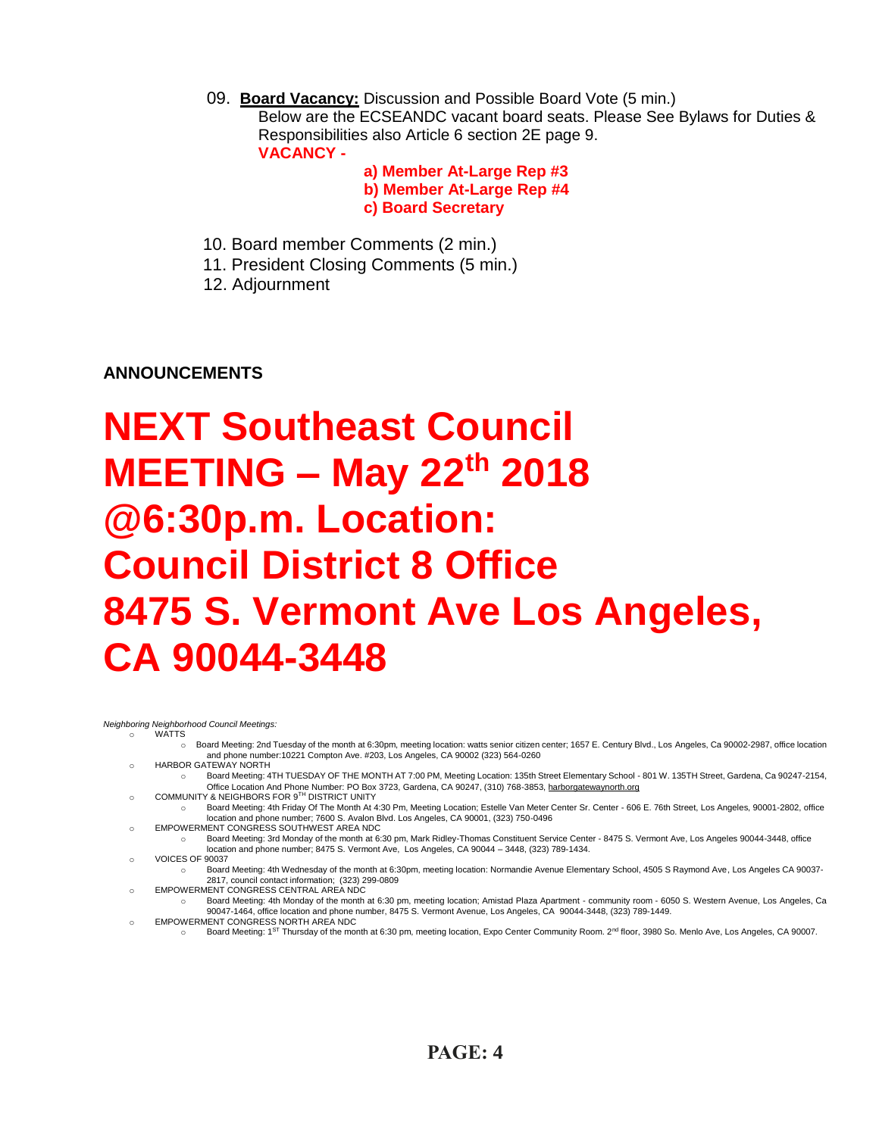09. **Board Vacancy:** Discussion and Possible Board Vote (5 min.) Below are the ECSEANDC vacant board seats. Please See Bylaws for Duties & Responsibilities also Article 6 section 2E page 9. **VACANCY -**

> **a) Member At-Large Rep #3 b) Member At-Large Rep #4 c) Board Secretary**

- 10. Board member Comments (2 min.)
- 11. President Closing Comments (5 min.)
- 12. Adjournment

**ANNOUNCEMENTS**

# **NEXT Southeast Council MEETING – May 22th 2018 @6:30p.m. Location: Council District 8 Office 8475 S. Vermont Ave Los Angeles, CA 90044-3448**

*Neighboring Neighborhood Council Meetings:*

o WATTS

- o Board Meeting: 2nd Tuesday of the month at 6:30pm, meeting location: watts senior citizen center; 1657 E. Century Blvd., Los Angeles, Ca 90002-2987, office location and phone number:10221 Compton Ave. #203, Los Angeles, CA 90002 (323) 564-0260
- o HARBOR GATEWAY NORTH
- o Board Meeting: 4TH TUESDAY OF THE MONTH AT 7:00 PM, Meeting Location: 135th Street Elementary School 801 W. 135TH Street, Gardena, Ca 90247-2154, om Coffice Location And Phone Number: PO Box 3723, Gardena, CA 90247, (310) 768-3853, <u>harborgatewaynorth.org وC</u>OMMUNITY & NEIGHBORS FOR 9<sup>TH</sup> DISTRICT UNITY
	-
- o Board Meeting: 4th Friday Of The Month At 4:30 Pm, Meeting Location; Estelle Van Meter Center Sr. Center 606 E. 76th Street, Los Angeles, 90001-2802, office location and phone number; 7600 S. Avalon Blvd. Los Angeles, CA 90001, (323) 750-0496
- EMPOWERMENT CONGRESS SOUTHWEST AREA NDC
- o Board Meeting: 3rd Monday of the month at 6:30 pm, Mark Ridley-Thomas Constituent Service Center 8475 S. Vermont Ave, Los Angeles 90044-3448, office location and phone number; 8475 S. Vermont Ave, Los Angeles, CA 90044 – 3448, (323) 789-1434.
- o VOICES OF 90037
- Board Meeting: 4th Wednesday of the month at 6:30pm, meeting location: Normandie Avenue Elementary School, 4505 S Raymond Ave, Los Angeles CA 90037-2817, council contact information; (323) 299-0809
- o EMPOWERMENT CONGRESS CENTRAL AREA NDC
	- o Board Meeting: 4th Monday of the month at 6:30 pm, meeting location; Amistad Plaza Apartment community room 6050 S. Western Avenue, Los Angeles, Ca 90047-1464, office location and phone number, 8475 S. Vermont Avenue, Los Angeles, CA 90044-3448, (323) 789-1449.
- o EMPOWERMENT CONGRESS NORTH AREA NDC
- o Board Meeting: 1ST Thursday of the month at 6:30 pm, meeting location, Expo Center Community Room. 2nd floor, 3980 So. Menlo Ave, Los Angeles, CA 90007.